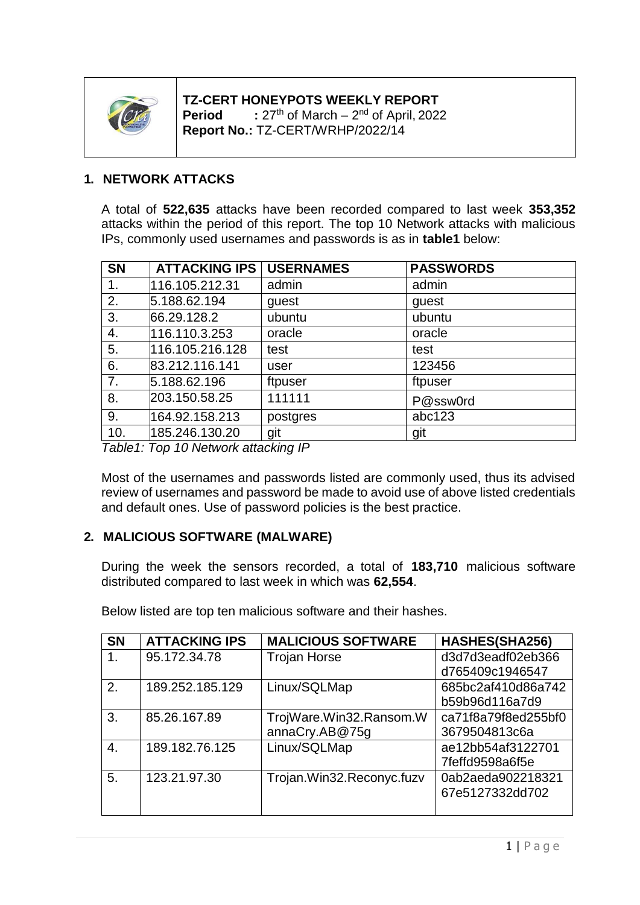

# **TZ-CERT HONEYPOTS WEEKLY REPORT Period**  $\qquad$  : 27<sup>th</sup> of March – 2<sup>nd</sup> of April, 2022

**Report No.:** TZ-CERT/WRHP/2022/14

## **1. NETWORK ATTACKS**

A total of **522,635** attacks have been recorded compared to last week **353,352**  attacks within the period of this report. The top 10 Network attacks with malicious IPs, commonly used usernames and passwords is as in **table1** below:

| <b>SN</b> | <b>ATTACKING IPS   USERNAMES</b> |          | <b>PASSWORDS</b> |
|-----------|----------------------------------|----------|------------------|
| 1.        | 116.105.212.31                   | admin    | admin            |
| 2.        | 5.188.62.194                     | guest    | guest            |
| 3.        | 66.29.128.2                      | ubuntu   | ubuntu           |
| 4.        | 116.110.3.253                    | oracle   | oracle           |
| 5.        | 116.105.216.128                  | test     | test             |
| 6.        | 83.212.116.141                   | user     | 123456           |
| 7.        | 5.188.62.196                     | ftpuser  | ftpuser          |
| 8.        | 203.150.58.25                    | 111111   | P@ssw0rd         |
| 9.        | 164.92.158.213                   | postgres | abc123           |
| 10.       | 185.246.130.20                   | git      | git              |

*Table1: Top 10 Network attacking IP*

Most of the usernames and passwords listed are commonly used, thus its advised review of usernames and password be made to avoid use of above listed credentials and default ones. Use of password policies is the best practice.

## **2. MALICIOUS SOFTWARE (MALWARE)**

During the week the sensors recorded, a total of **183,710** malicious software distributed compared to last week in which was **62,554**.

| <b>SN</b>      | <b>ATTACKING IPS</b> | <b>MALICIOUS SOFTWARE</b> | HASHES(SHA256)      |
|----------------|----------------------|---------------------------|---------------------|
| 1 <sub>1</sub> | 95.172.34.78         | <b>Trojan Horse</b>       | d3d7d3eadf02eb366   |
|                |                      |                           | d765409c1946547     |
| 2.             | 189.252.185.129      | Linux/SQLMap              | 685bc2af410d86a742  |
|                |                      |                           | b59b96d116a7d9      |
| 3.             | 85.26.167.89         | TrojWare.Win32.Ransom.W   | ca71f8a79f8ed255bf0 |
|                |                      | annaCry.AB@75g            | 3679504813c6a       |
| 4.             | 189.182.76.125       | Linux/SQLMap              | ae12bb54af3122701   |
|                |                      |                           | 7feffd9598a6f5e     |
| 5.             | 123.21.97.30         | Trojan.Win32.Reconyc.fuzv | 0ab2aeda902218321   |
|                |                      |                           | 67e5127332dd702     |
|                |                      |                           |                     |

Below listed are top ten malicious software and their hashes.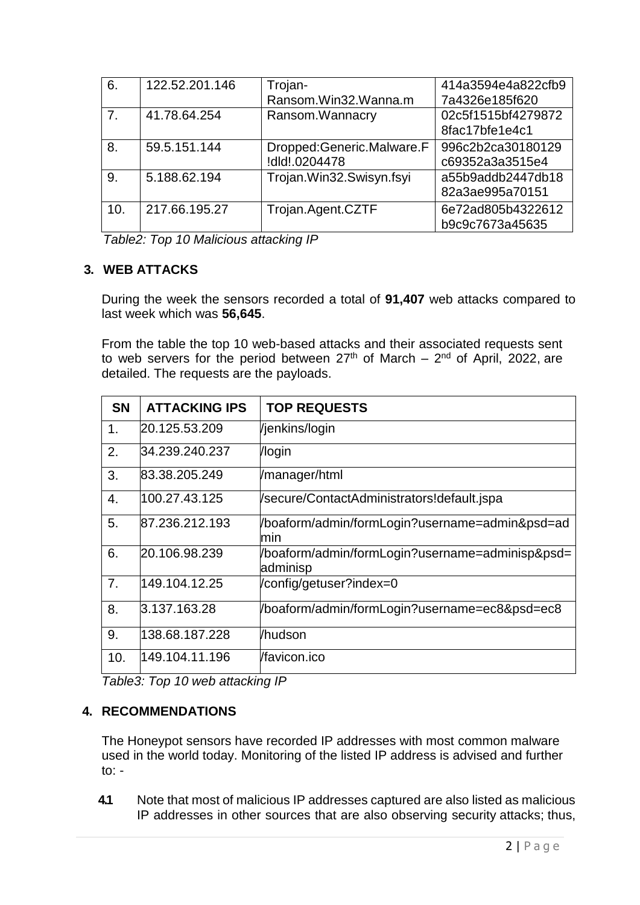| 6.             | 122.52.201.146 | Trojan-                   | 414a3594e4a822cfb9 |
|----------------|----------------|---------------------------|--------------------|
|                |                | Ransom.Win32.Wanna.m      | 7a4326e185f620     |
| 7 <sub>1</sub> | 41.78.64.254   | Ransom.Wannacry           | 02c5f1515bf4279872 |
|                |                |                           | 8fac17bfe1e4c1     |
| 8.             | 59.5.151.144   | Dropped:Generic.Malware.F | 996c2b2ca30180129  |
|                |                | !dld!.0204478             | c69352a3a3515e4    |
| 9.             | 5.188.62.194   | Trojan.Win32.Swisyn.fsyi  | a55b9addb2447db18  |
|                |                |                           | 82a3ae995a70151    |
| 10.            | 217.66.195.27  | Trojan.Agent.CZTF         | 6e72ad805b4322612  |
|                |                |                           | b9c9c7673a45635    |

*Table2: Top 10 Malicious attacking IP*

### **3. WEB ATTACKS**

During the week the sensors recorded a total of **91,407** web attacks compared to last week which was **56,645**.

From the table the top 10 web-based attacks and their associated requests sent to web servers for the period between  $27<sup>th</sup>$  of March –  $2<sup>nd</sup>$  of April, 2022, are detailed. The requests are the payloads.

| <b>SN</b> | <b>ATTACKING IPS</b> | <b>TOP REQUESTS</b>                                          |
|-----------|----------------------|--------------------------------------------------------------|
| 1.        | 20.125.53.209        | /jenkins/login                                               |
| 2.        | 34.239.240.237       | /login                                                       |
| 3.        | 83.38.205.249        | /manager/html                                                |
| 4.        | 100.27.43.125        | /secure/ContactAdministrators!default.jspa                   |
| 5.        | 87.236.212.193       | /boaform/admin/formLogin?username=admin&psd=ad<br>min        |
| 6.        | 20.106.98.239        | /boaform/admin/formLogin?username=adminisp&psd=<br>ladminisp |
| 7.        | 149.104.12.25        | /config/getuser?index=0                                      |
| 8.        | 3.137.163.28         | /boaform/admin/formLogin?username=ec8&psd=ec8                |
| 9.        | 138.68.187.228       | /hudson                                                      |
| 10.       | 149.104.11.196       | /favicon.ico                                                 |

*Table3: Top 10 web attacking IP*

### **4. RECOMMENDATIONS**

The Honeypot sensors have recorded IP addresses with most common malware used in the world today. Monitoring of the listed IP address is advised and further to: -

**4.1** Note that most of malicious IP addresses captured are also listed as malicious IP addresses in other sources that are also observing security attacks; thus,